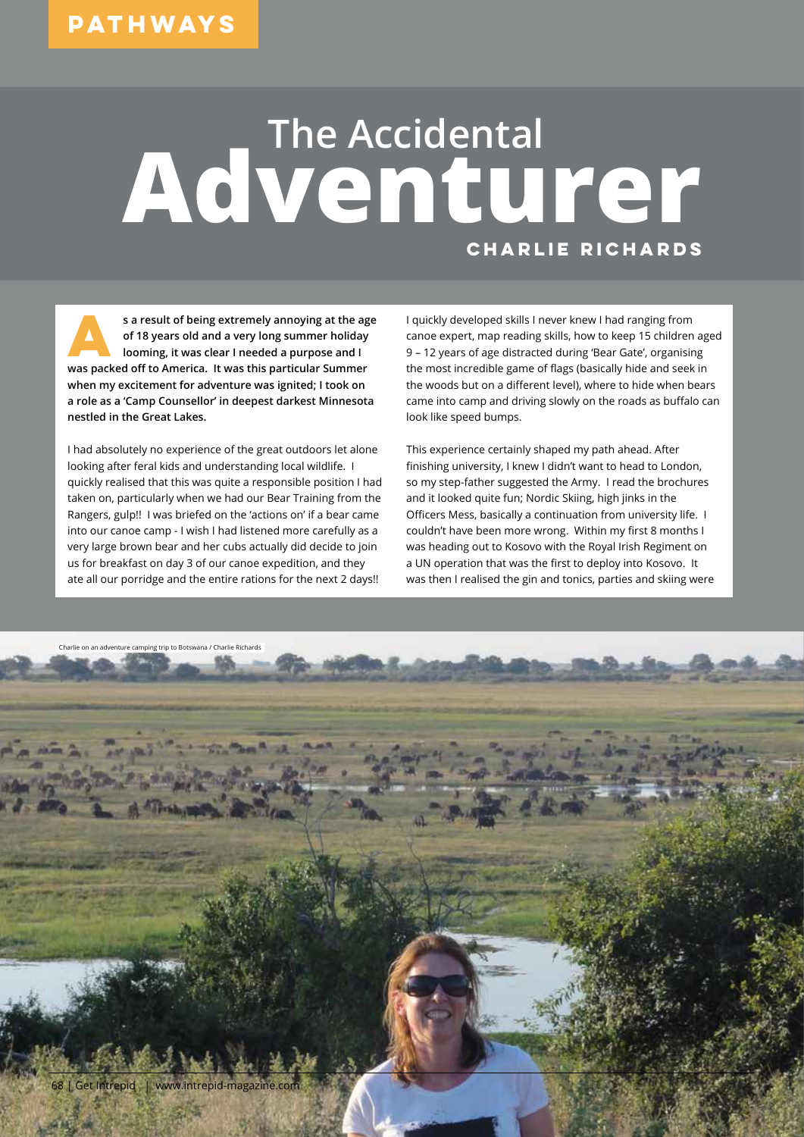## **The Accidental Adventurer Charlie Richards**

**A** sa result of being extremely annoying at the age of 18 years old and a very long summer holiday looming, it was clear I needed a purpose and I **of 18 years old and a very long summer holiday was packed off to America. It was this particular Summer when my excitement for adventure was ignited; I took on a role as a 'Camp Counsellor' in deepest darkest Minnesota nestled in the Great Lakes.** 

I had absolutely no experience of the great outdoors let alone looking after feral kids and understanding local wildlife. I quickly realised that this was quite a responsible position I had taken on, particularly when we had our Bear Training from the Rangers, gulp!! I was briefed on the 'actions on' if a bear came into our canoe camp - I wish I had listened more carefully as a very large brown bear and her cubs actually did decide to join us for breakfast on day 3 of our canoe expedition, and they ate all our porridge and the entire rations for the next 2 days!!

I quickly developed skills I never knew I had ranging from canoe expert, map reading skills, how to keep 15 children aged 9 – 12 years of age distracted during 'Bear Gate', organising the most incredible game of flags (basically hide and seek in the woods but on a different level), where to hide when bears came into camp and driving slowly on the roads as buffalo can look like speed bumps.

This experience certainly shaped my path ahead. After finishing university, I knew I didn't want to head to London, so my step-father suggested the Army. I read the brochures and it looked quite fun; Nordic Skiing, high jinks in the Officers Mess, basically a continuation from university life. I couldn't have been more wrong. Within my first 8 months I was heading out to Kosovo with the Royal Irish Regiment on a UN operation that was the first to deploy into Kosovo. It was then I realised the gin and tonics, parties and skiing were

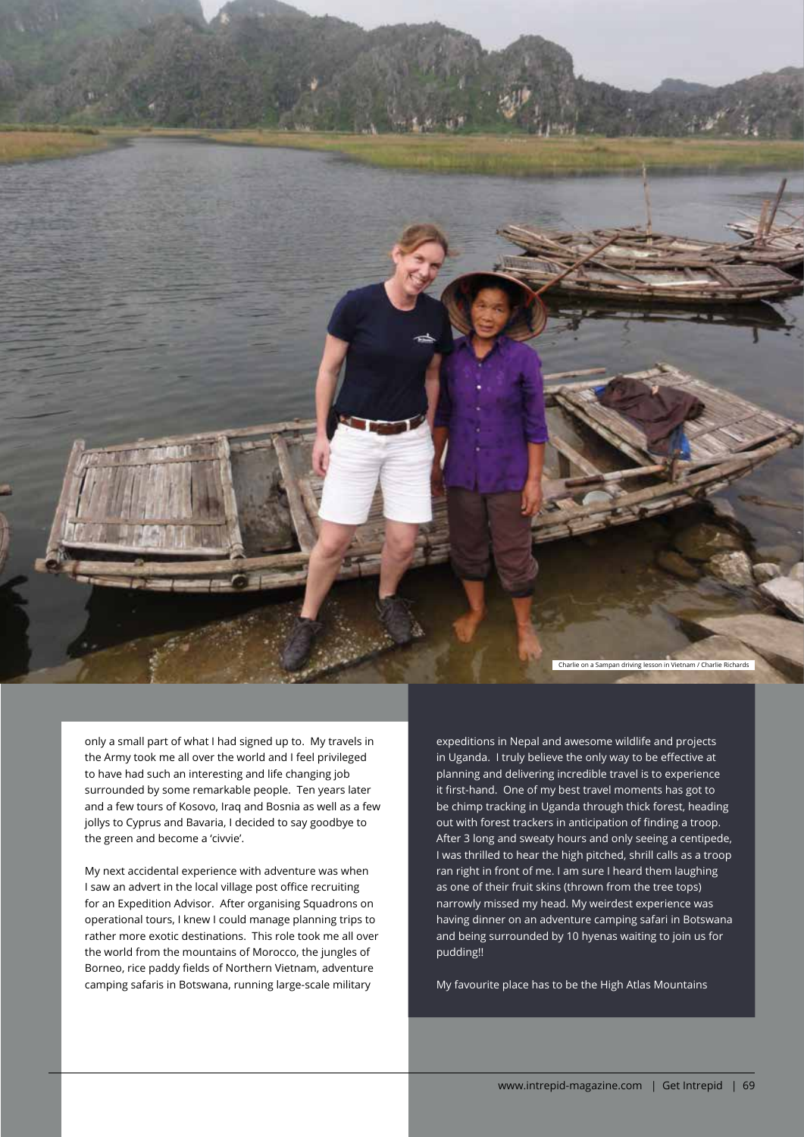Charlie on a Sampan driving lesson in Vietnam / Charlie Richards

only a small part of what I had signed up to. My travels in the Army took me all over the world and I feel privileged to have had such an interesting and life changing job surrounded by some remarkable people. Ten years later and a few tours of Kosovo, Iraq and Bosnia as well as a few jollys to Cyprus and Bavaria, I decided to say goodbye to the green and become a 'civvie'.

My next accidental experience with adventure was when I saw an advert in the local village post office recruiting for an Expedition Advisor. After organising Squadrons on operational tours, I knew I could manage planning trips to rather more exotic destinations. This role took me all over the world from the mountains of Morocco, the jungles of Borneo, rice paddy fields of Northern Vietnam, adventure camping safaris in Botswana, running large-scale military

expeditions in Nepal and awesome wildlife and projects in Uganda. I truly believe the only way to be effective at planning and delivering incredible travel is to experience it first-hand. One of my best travel moments has got to be chimp tracking in Uganda through thick forest, heading out with forest trackers in anticipation of finding a troop. After 3 long and sweaty hours and only seeing a centipede, I was thrilled to hear the high pitched, shrill calls as a troop ran right in front of me. I am sure I heard them laughing as one of their fruit skins (thrown from the tree tops) narrowly missed my head. My weirdest experience was having dinner on an adventure camping safari in Botswana and being surrounded by 10 hyenas waiting to join us for pudding!!

My favourite place has to be the High Atlas Mountains